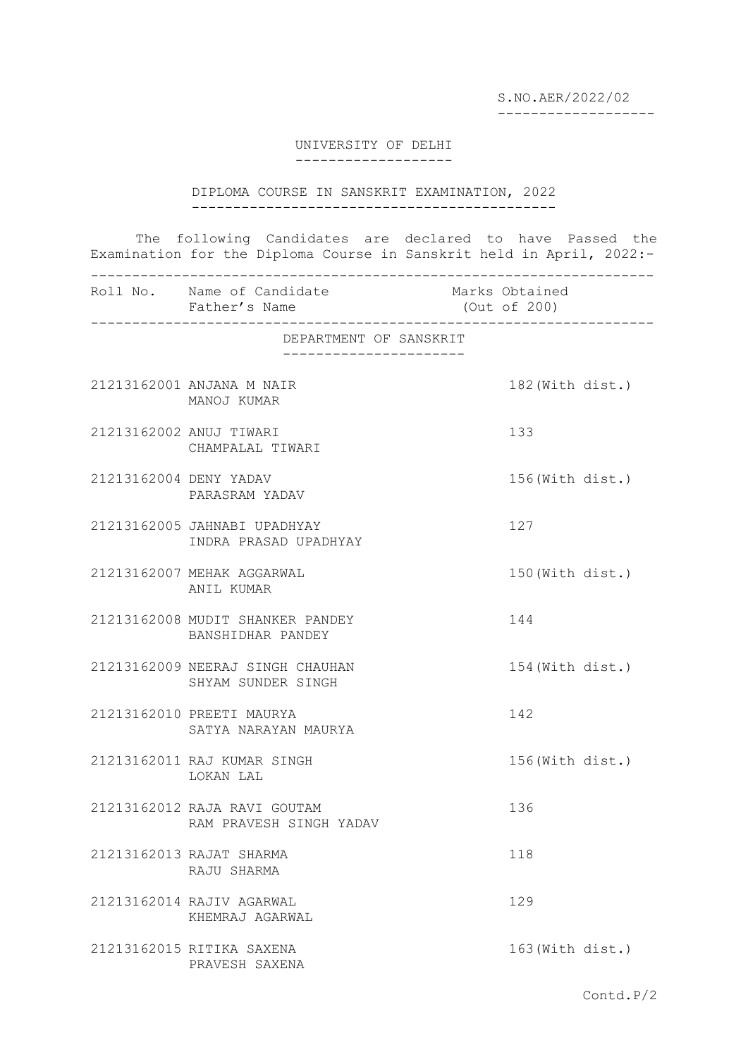S.NO.AER/2022/02 -------------------

UNIVERSITY OF DELHI -------------------

DIPLOMA COURSE IN SANSKRIT EXAMINATION, 2022 --------------------------------------------

The following Candidates are declared to have Passed the Examination for the Diploma Course in Sanskrit held in April, 2022:-

|                        | Roll No. Name of Candidate<br>Father's Name             |  | Marks Obtained<br>(Out of 200) |  |  |
|------------------------|---------------------------------------------------------|--|--------------------------------|--|--|
| DEPARTMENT OF SANSKRIT |                                                         |  |                                |  |  |
|                        |                                                         |  |                                |  |  |
|                        | 21213162001 ANJANA M NAIR<br>MANOJ KUMAR                |  | 182 (With dist.)               |  |  |
|                        | 21213162002 ANUJ TIWARI<br>CHAMPALAL TIWARI             |  | 133                            |  |  |
| 21213162004 DENY YADAV | PARASRAM YADAV                                          |  | 156(With dist.)                |  |  |
|                        | 21213162005 JAHNABI UPADHYAY<br>INDRA PRASAD UPADHYAY   |  | 127                            |  |  |
|                        | 21213162007 MEHAK AGGARWAL<br>ANIL KUMAR                |  | 150 (With dist.)               |  |  |
|                        | 21213162008 MUDIT SHANKER PANDEY<br>BANSHIDHAR PANDEY   |  | 144                            |  |  |
|                        | 21213162009 NEERAJ SINGH CHAUHAN<br>SHYAM SUNDER SINGH  |  | 154 (With dist.)               |  |  |
|                        | 21213162010 PREETI MAURYA<br>SATYA NARAYAN MAURYA       |  | 142                            |  |  |
|                        | 21213162011 RAJ KUMAR SINGH<br>LOKAN LAL                |  | 156(With dist.)                |  |  |
|                        | 21213162012 RAJA RAVI GOUTAM<br>RAM PRAVESH SINGH YADAV |  | 136                            |  |  |
|                        | 21213162013 RAJAT SHARMA<br>RAJU SHARMA                 |  | 118                            |  |  |
|                        | 21213162014 RAJIV AGARWAL<br>KHEMRAJ AGARWAL            |  | 129                            |  |  |
|                        | 21213162015 RITIKA SAXENA<br>PRAVESH SAXENA             |  | 163 (With dist.)               |  |  |

Contd.P/2